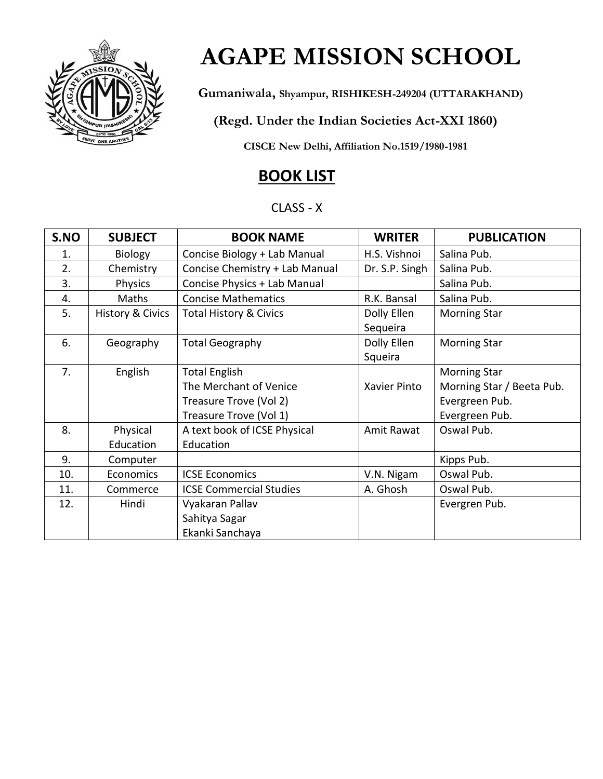

## **AGAPE MISSION SCHOOL**

 **Gumaniwala, Shyampur, RISHIKESH-249204 (UTTARAKHAND)**

 **(Regd. Under the Indian Societies Act-XXI 1860)** 

 **CISCE New Delhi, Affiliation No.1519/1980-1981** 

## **BOOK LIST**

#### CLASS - X

| S.NO | <b>SUBJECT</b>              | <b>BOOK NAME</b>                  | <b>WRITER</b>  | <b>PUBLICATION</b>        |
|------|-----------------------------|-----------------------------------|----------------|---------------------------|
| 1.   | <b>Biology</b>              | Concise Biology + Lab Manual      | H.S. Vishnoi   | Salina Pub.               |
| 2.   | Chemistry                   | Concise Chemistry + Lab Manual    | Dr. S.P. Singh | Salina Pub.               |
| 3.   | <b>Physics</b>              | Concise Physics + Lab Manual      |                | Salina Pub.               |
| 4.   | Maths                       | <b>Concise Mathematics</b>        | R.K. Bansal    | Salina Pub.               |
| 5.   | <b>History &amp; Civics</b> | <b>Total History &amp; Civics</b> | Dolly Ellen    | <b>Morning Star</b>       |
|      |                             |                                   | Sequeira       |                           |
| 6.   | Geography                   | <b>Total Geography</b>            | Dolly Ellen    | <b>Morning Star</b>       |
|      |                             |                                   | Squeira        |                           |
| 7.   | English                     | <b>Total English</b>              |                | <b>Morning Star</b>       |
|      |                             | The Merchant of Venice            | Xavier Pinto   | Morning Star / Beeta Pub. |
|      |                             | Treasure Trove (Vol 2)            |                | Evergreen Pub.            |
|      |                             | Treasure Trove (Vol 1)            |                | Evergreen Pub.            |
| 8.   | Physical                    | A text book of ICSE Physical      | Amit Rawat     | Oswal Pub.                |
|      | Education                   | Education                         |                |                           |
| 9.   | Computer                    |                                   |                | Kipps Pub.                |
| 10.  | Economics                   | <b>ICSE Economics</b>             | V.N. Nigam     | Oswal Pub.                |
| 11.  | Commerce                    | <b>ICSE Commercial Studies</b>    | A. Ghosh       | Oswal Pub.                |
| 12.  | Hindi                       | Vyakaran Pallav                   |                | Evergren Pub.             |
|      |                             | Sahitya Sagar                     |                |                           |
|      |                             | Ekanki Sanchaya                   |                |                           |